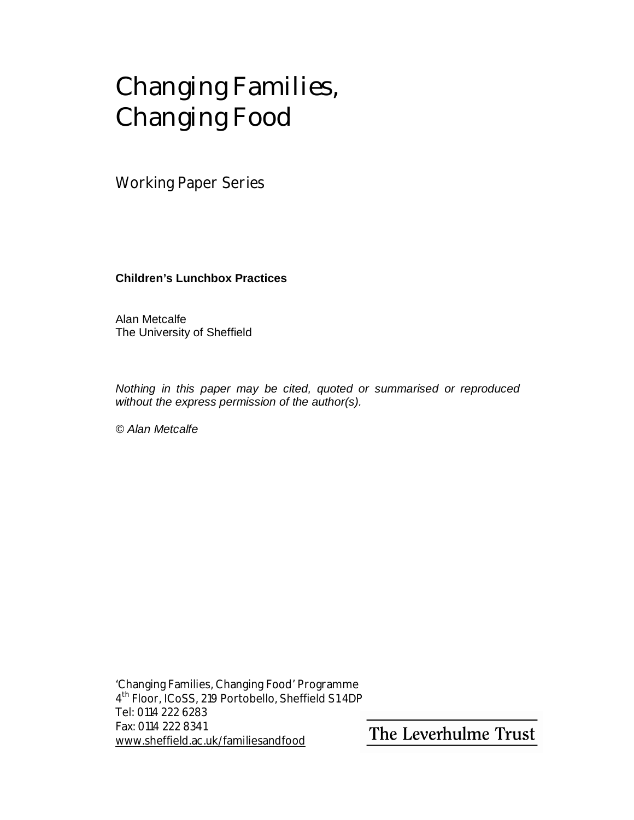# Changing Families, Changing Food

Working Paper Series

**Children's Lunchbox Practices**

Alan Metcalfe The University of Sheffield

*Nothing in this paper may be cited, quoted or summarised or reproduced without the express permission of the author(s).* 

*© Alan Metcalfe* 

'Changing Families, Changing Food' Programme 4 th Floor, ICoSS, 219 Portobello, Sheffield S1 4DP Tel: 0114 222 6283 Fax: 0114 222 8341 [www.sheffield.ac.uk/familiesandfood](http://www.sheffield.ac.uk/familiesandfood)

The Leverhulme Trust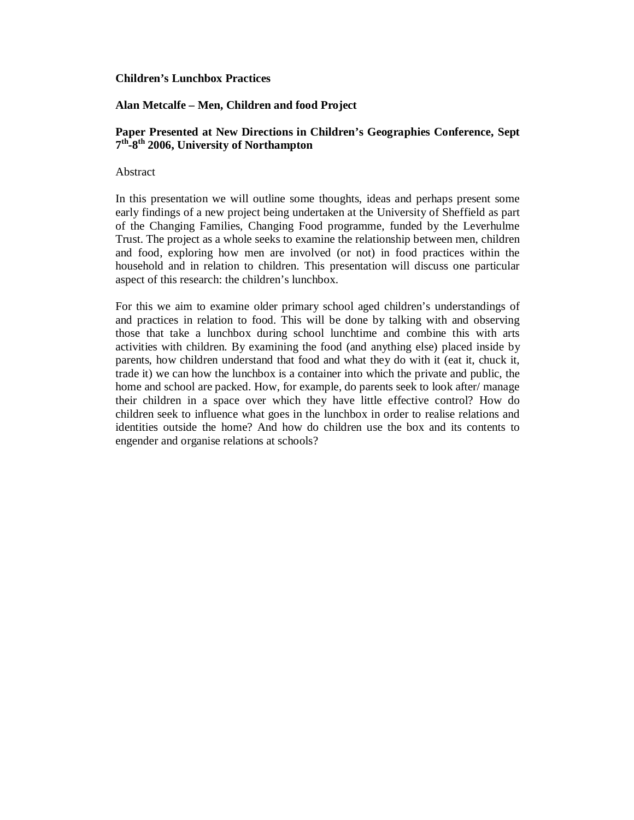#### **Children's Lunchbox Practices**

# **Alan Metcalfe – Men, Children and food Project**

# **Paper Presented at New Directions in Children's Geographies Conference, Sept 7 th-8th 2006, University of Northampton**

Abstract

In this presentation we will outline some thoughts, ideas and perhaps present some early findings of a new project being undertaken at the University of Sheffield as part of the Changing Families, Changing Food programme, funded by the Leverhulme Trust. The project as a whole seeks to examine the relationship between men, children and food, exploring how men are involved (or not) in food practices within the household and in relation to children. This presentation will discuss one particular aspect of this research: the children's lunchbox.

For this we aim to examine older primary school aged children's understandings of and practices in relation to food. This will be done by talking with and observing those that take a lunchbox during school lunchtime and combine this with arts activities with children. By examining the food (and anything else) placed inside by parents, how children understand that food and what they do with it (eat it, chuck it, trade it) we can how the lunchbox is a container into which the private and public, the home and school are packed. How, for example, do parents seek to look after/ manage their children in a space over which they have little effective control? How do children seek to influence what goes in the lunchbox in order to realise relations and identities outside the home? And how do children use the box and its contents to engender and organise relations at schools?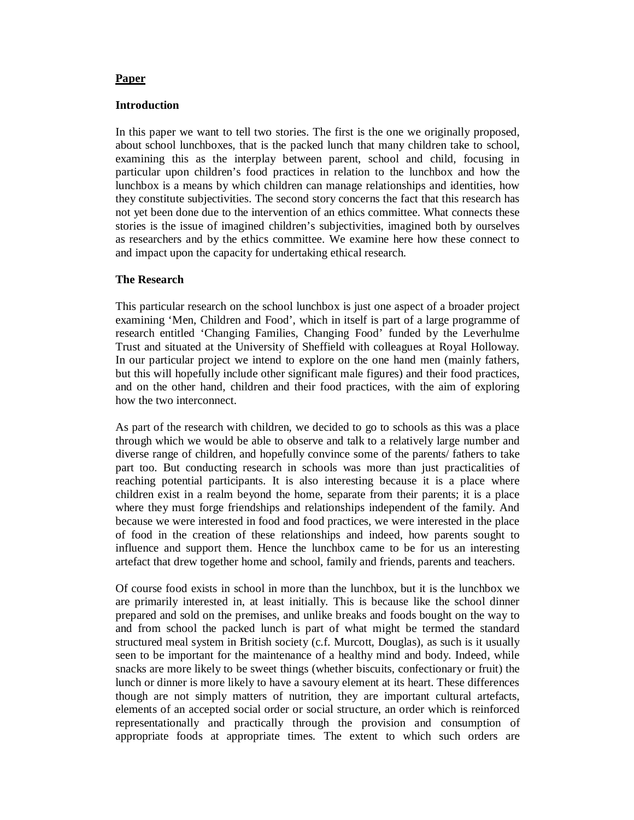#### **Paper**

## **Introduction**

In this paper we want to tell two stories. The first is the one we originally proposed, about school lunchboxes, that is the packed lunch that many children take to school, examining this as the interplay between parent, school and child, focusing in particular upon children's food practices in relation to the lunchbox and how the lunchbox is a means by which children can manage relationships and identities, how they constitute subjectivities. The second story concerns the fact that this research has not yet been done due to the intervention of an ethics committee. What connects these stories is the issue of imagined children's subjectivities, imagined both by ourselves as researchers and by the ethics committee. We examine here how these connect to and impact upon the capacity for undertaking ethical research.

# **The Research**

This particular research on the school lunchbox is just one aspect of a broader project examining 'Men, Children and Food', which in itself is part of a large programme of research entitled 'Changing Families, Changing Food' funded by the Leverhulme Trust and situated at the University of Sheffield with colleagues at Royal Holloway. In our particular project we intend to explore on the one hand men (mainly fathers, but this will hopefully include other significant male figures) and their food practices, and on the other hand, children and their food practices, with the aim of exploring how the two interconnect.

As part of the research with children, we decided to go to schools as this was a place through which we would be able to observe and talk to a relatively large number and diverse range of children, and hopefully convince some of the parents/ fathers to take part too. But conducting research in schools was more than just practicalities of reaching potential participants. It is also interesting because it is a place where children exist in a realm beyond the home, separate from their parents; it is a place where they must forge friendships and relationships independent of the family. And because we were interested in food and food practices, we were interested in the place of food in the creation of these relationships and indeed, how parents sought to influence and support them. Hence the lunchbox came to be for us an interesting artefact that drew together home and school, family and friends, parents and teachers.

Of course food exists in school in more than the lunchbox, but it is the lunchbox we are primarily interested in, at least initially. This is because like the school dinner prepared and sold on the premises, and unlike breaks and foods bought on the way to and from school the packed lunch is part of what might be termed the standard structured meal system in British society (c.f. Murcott, Douglas), as such is it usually seen to be important for the maintenance of a healthy mind and body. Indeed, while snacks are more likely to be sweet things (whether biscuits, confectionary or fruit) the lunch or dinner is more likely to have a savoury element at its heart. These differences though are not simply matters of nutrition, they are important cultural artefacts, elements of an accepted social order or social structure, an order which is reinforced representationally and practically through the provision and consumption of appropriate foods at appropriate times. The extent to which such orders are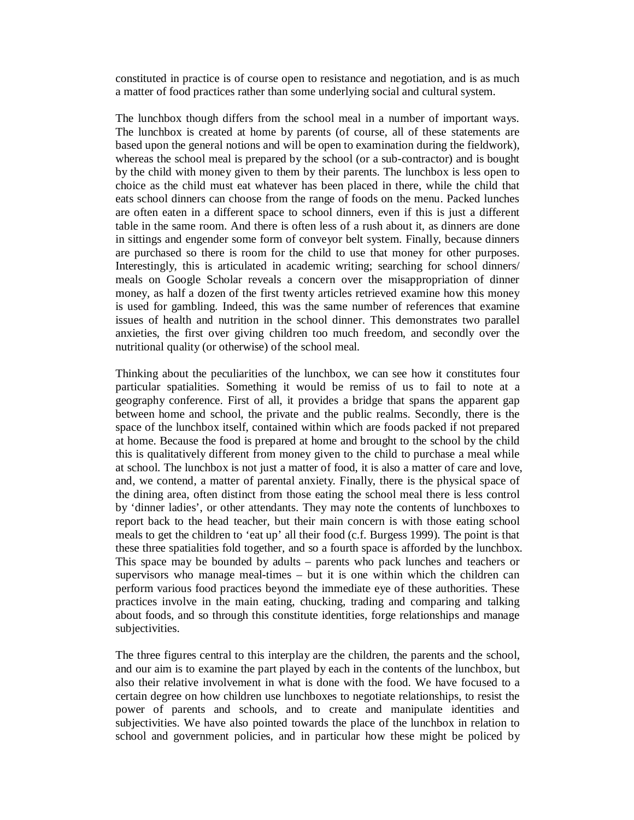constituted in practice is of course open to resistance and negotiation, and is as much a matter of food practices rather than some underlying social and cultural system.

The lunchbox though differs from the school meal in a number of important ways. The lunchbox is created at home by parents (of course, all of these statements are based upon the general notions and will be open to examination during the fieldwork), whereas the school meal is prepared by the school (or a sub-contractor) and is bought by the child with money given to them by their parents. The lunchbox is less open to choice as the child must eat whatever has been placed in there, while the child that eats school dinners can choose from the range of foods on the menu. Packed lunches are often eaten in a different space to school dinners, even if this is just a different table in the same room. And there is often less of a rush about it, as dinners are done in sittings and engender some form of conveyor belt system. Finally, because dinners are purchased so there is room for the child to use that money for other purposes. Interestingly, this is articulated in academic writing; searching for school dinners/ meals on Google Scholar reveals a concern over the misappropriation of dinner money, as half a dozen of the first twenty articles retrieved examine how this money is used for gambling. Indeed, this was the same number of references that examine issues of health and nutrition in the school dinner. This demonstrates two parallel anxieties, the first over giving children too much freedom, and secondly over the nutritional quality (or otherwise) of the school meal.

Thinking about the peculiarities of the lunchbox, we can see how it constitutes four particular spatialities. Something it would be remiss of us to fail to note at a geography conference. First of all, it provides a bridge that spans the apparent gap between home and school, the private and the public realms. Secondly, there is the space of the lunchbox itself, contained within which are foods packed if not prepared at home. Because the food is prepared at home and brought to the school by the child this is qualitatively different from money given to the child to purchase a meal while at school. The lunchbox is not just a matter of food, it is also a matter of care and love, and, we contend, a matter of parental anxiety. Finally, there is the physical space of the dining area, often distinct from those eating the school meal there is less control by 'dinner ladies', or other attendants. They may note the contents of lunchboxes to report back to the head teacher, but their main concern is with those eating school meals to get the children to 'eat up' all their food (c.f. Burgess 1999). The point is that these three spatialities fold together, and so a fourth space is afforded by the lunchbox. This space may be bounded by adults – parents who pack lunches and teachers or supervisors who manage meal-times – but it is one within which the children can perform various food practices beyond the immediate eye of these authorities. These practices involve in the main eating, chucking, trading and comparing and talking about foods, and so through this constitute identities, forge relationships and manage subjectivities.

The three figures central to this interplay are the children, the parents and the school, and our aim is to examine the part played by each in the contents of the lunchbox, but also their relative involvement in what is done with the food. We have focused to a certain degree on how children use lunchboxes to negotiate relationships, to resist the power of parents and schools, and to create and manipulate identities and subjectivities. We have also pointed towards the place of the lunchbox in relation to school and government policies, and in particular how these might be policed by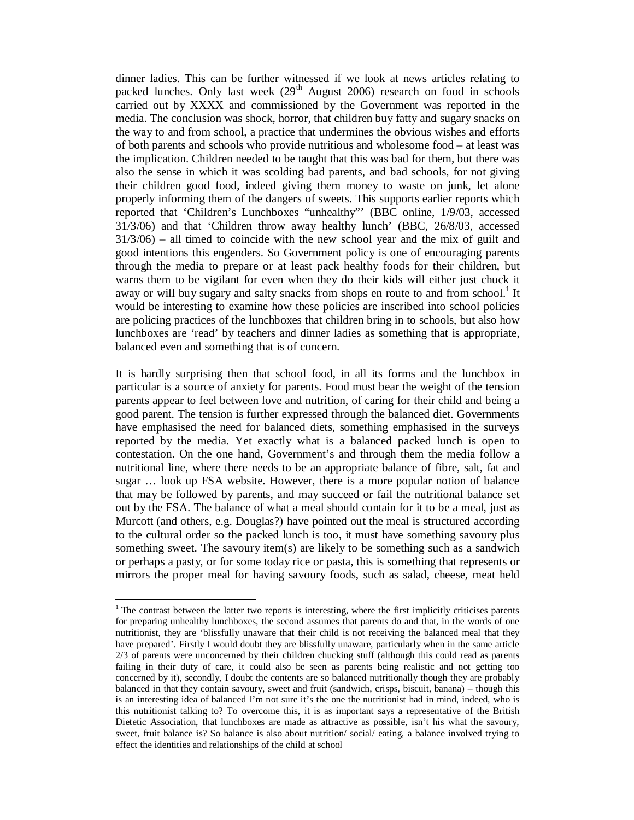dinner ladies. This can be further witnessed if we look at news articles relating to packed lunches. Only last week  $(29<sup>th</sup>$  August 2006) research on food in schools carried out by XXXX and commissioned by the Government was reported in the media. The conclusion was shock, horror, that children buy fatty and sugary snacks on the way to and from school, a practice that undermines the obvious wishes and efforts of both parents and schools who provide nutritious and wholesome food – at least was the implication. Children needed to be taught that this was bad for them, but there was also the sense in which it was scolding bad parents, and bad schools, for not giving their children good food, indeed giving them money to waste on junk, let alone properly informing them of the dangers of sweets. This supports earlier reports which reported that 'Children's Lunchboxes "unhealthy"' (BBC online, 1/9/03, accessed 31/3/06) and that 'Children throw away healthy lunch' (BBC, 26/8/03, accessed  $31/3/06$  – all timed to coincide with the new school year and the mix of guilt and good intentions this engenders. So Government policy is one of encouraging parents through the media to prepare or at least pack healthy foods for their children, but warns them to be vigilant for even when they do their kids will either just chuck it away or will buy sugary and salty snacks from shops en route to and from school.<sup>1</sup> It would be interesting to examine how these policies are inscribed into school policies are policing practices of the lunchboxes that children bring in to schools, but also how lunchboxes are 'read' by teachers and dinner ladies as something that is appropriate, balanced even and something that is of concern.

It is hardly surprising then that school food, in all its forms and the lunchbox in particular is a source of anxiety for parents. Food must bear the weight of the tension parents appear to feel between love and nutrition, of caring for their child and being a good parent. The tension is further expressed through the balanced diet. Governments have emphasised the need for balanced diets, something emphasised in the surveys reported by the media. Yet exactly what is a balanced packed lunch is open to contestation. On the one hand, Government's and through them the media follow a nutritional line, where there needs to be an appropriate balance of fibre, salt, fat and sugar … look up FSA website. However, there is a more popular notion of balance that may be followed by parents, and may succeed or fail the nutritional balance set out by the FSA. The balance of what a meal should contain for it to be a meal, just as Murcott (and others, e.g. Douglas?) have pointed out the meal is structured according to the cultural order so the packed lunch is too, it must have something savoury plus something sweet. The savoury item(s) are likely to be something such as a sandwich or perhaps a pasty, or for some today rice or pasta, this is something that represents or mirrors the proper meal for having savoury foods, such as salad, cheese, meat held

<sup>&</sup>lt;sup>1</sup>The contrast between the latter two reports is interesting, where the first implicitly criticises parents for preparing unhealthy lunchboxes, the second assumes that parents do and that, in the words of one nutritionist, they are 'blissfully unaware that their child is not receiving the balanced meal that they have prepared'. Firstly I would doubt they are blissfully unaware, particularly when in the same article 2/3 of parents were unconcerned by their children chucking stuff (although this could read as parents failing in their duty of care, it could also be seen as parents being realistic and not getting too concerned by it), secondly, I doubt the contents are so balanced nutritionally though they are probably balanced in that they contain savoury, sweet and fruit (sandwich, crisps, biscuit, banana) – though this is an interesting idea of balanced I'm not sure it's the one the nutritionist had in mind, indeed, who is this nutritionist talking to? To overcome this, it is as important says a representative of the British Dietetic Association, that lunchboxes are made as attractive as possible, isn't his what the savoury, sweet, fruit balance is? So balance is also about nutrition/ social/ eating, a balance involved trying to effect the identities and relationships of the child at school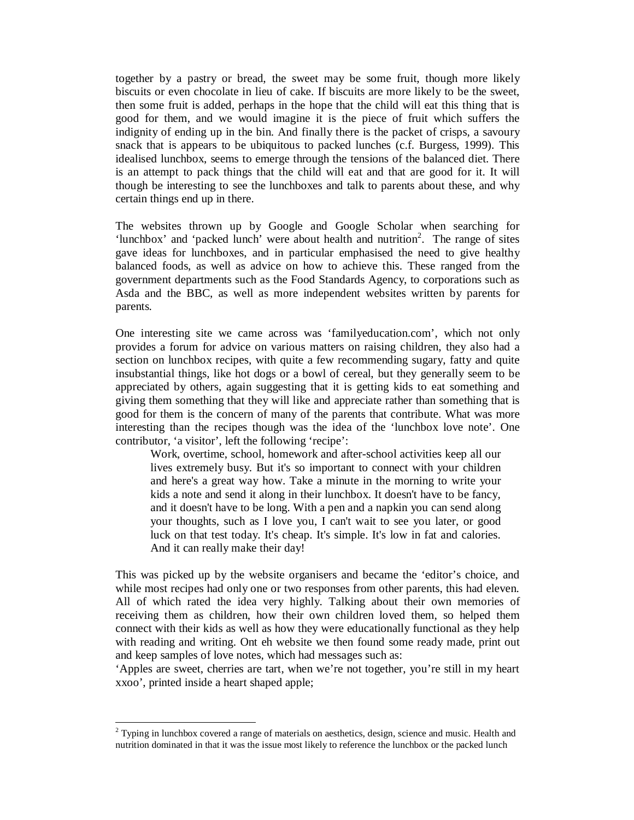together by a pastry or bread, the sweet may be some fruit, though more likely biscuits or even chocolate in lieu of cake. If biscuits are more likely to be the sweet, then some fruit is added, perhaps in the hope that the child will eat this thing that is good for them, and we would imagine it is the piece of fruit which suffers the indignity of ending up in the bin. And finally there is the packet of crisps, a savoury snack that is appears to be ubiquitous to packed lunches (c.f. Burgess, 1999). This idealised lunchbox, seems to emerge through the tensions of the balanced diet. There is an attempt to pack things that the child will eat and that are good for it. It will though be interesting to see the lunchboxes and talk to parents about these, and why certain things end up in there.

The websites thrown up by Google and Google Scholar when searching for 'lunchbox' and 'packed lunch' were about health and nutrition<sup>2</sup>. The range of sites gave ideas for lunchboxes, and in particular emphasised the need to give healthy balanced foods, as well as advice on how to achieve this. These ranged from the government departments such as the Food Standards Agency, to corporations such as Asda and the BBC, as well as more independent websites written by parents for parents.

One interesting site we came across was 'familyeducation.com', which not only provides a forum for advice on various matters on raising children, they also had a section on lunchbox recipes, with quite a few recommending sugary, fatty and quite insubstantial things, like hot dogs or a bowl of cereal, but they generally seem to be appreciated by others, again suggesting that it is getting kids to eat something and giving them something that they will like and appreciate rather than something that is good for them is the concern of many of the parents that contribute. What was more interesting than the recipes though was the idea of the 'lunchbox love note'. One contributor, 'a visitor', left the following 'recipe':

Work, overtime, school, homework and after-school activities keep all our lives extremely busy. But it's so important to connect with your children and here's a great way how. Take a minute in the morning to write your kids a note and send it along in their lunchbox. It doesn't have to be fancy, and it doesn't have to be long. With a pen and a napkin you can send along your thoughts, such as I love you, I can't wait to see you later, or good luck on that test today. It's cheap. It's simple. It's low in fat and calories. And it can really make their day!

This was picked up by the website organisers and became the 'editor's choice, and while most recipes had only one or two responses from other parents, this had eleven. All of which rated the idea very highly. Talking about their own memories of receiving them as children, how their own children loved them, so helped them connect with their kids as well as how they were educationally functional as they help with reading and writing. Ont eh website we then found some ready made, print out and keep samples of love notes, which had messages such as:

'Apples are sweet, cherries are tart, when we're not together, you're still in my heart xxoo', printed inside a heart shaped apple;

-

 $2^{2}$  Typing in lunchbox covered a range of materials on aesthetics, design, science and music. Health and nutrition dominated in that it was the issue most likely to reference the lunchbox or the packed lunch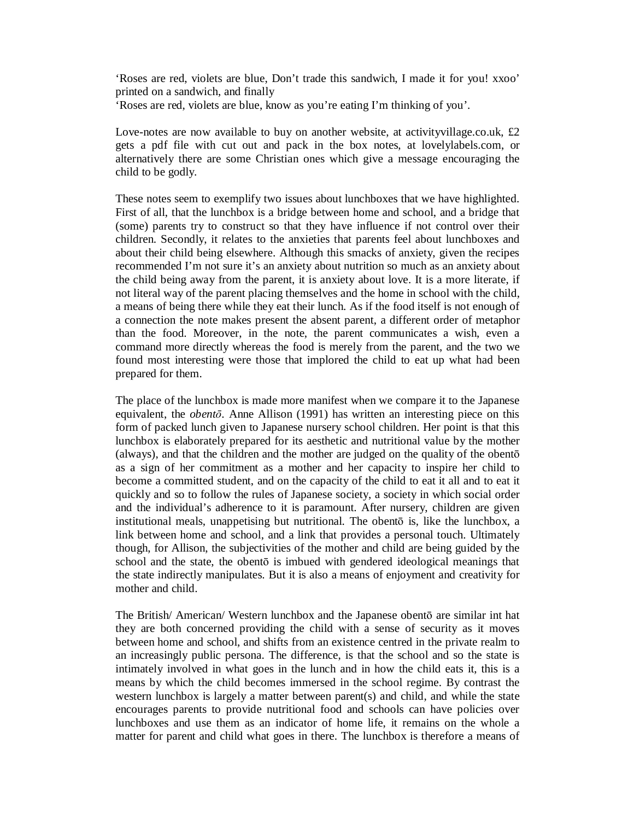'Roses are red, violets are blue, Don't trade this sandwich, I made it for you! xxoo' printed on a sandwich, and finally

'Roses are red, violets are blue, know as you're eating I'm thinking of you'.

Love-notes are now available to buy on another website, at activity village.co.uk, £2 gets a pdf file with cut out and pack in the box notes, at lovelylabels.com, or alternatively there are some Christian ones which give a message encouraging the child to be godly.

These notes seem to exemplify two issues about lunchboxes that we have highlighted. First of all, that the lunchbox is a bridge between home and school, and a bridge that (some) parents try to construct so that they have influence if not control over their children. Secondly, it relates to the anxieties that parents feel about lunchboxes and about their child being elsewhere. Although this smacks of anxiety, given the recipes recommended I'm not sure it's an anxiety about nutrition so much as an anxiety about the child being away from the parent, it is anxiety about love. It is a more literate, if not literal way of the parent placing themselves and the home in school with the child, a means of being there while they eat their lunch. As if the food itself is not enough of a connection the note makes present the absent parent, a different order of metaphor than the food. Moreover, in the note, the parent communicates a wish, even a command more directly whereas the food is merely from the parent, and the two we found most interesting were those that implored the child to eat up what had been prepared for them.

The place of the lunchbox is made more manifest when we compare it to the Japanese equivalent, the *obentō*. Anne Allison (1991) has written an interesting piece on this form of packed lunch given to Japanese nursery school children. Her point is that this lunchbox is elaborately prepared for its aesthetic and nutritional value by the mother (always), and that the children and the mother are judged on the quality of the obentō as a sign of her commitment as a mother and her capacity to inspire her child to become a committed student, and on the capacity of the child to eat it all and to eat it quickly and so to follow the rules of Japanese society, a society in which social order and the individual's adherence to it is paramount. After nursery, children are given institutional meals, unappetising but nutritional. The obentō is, like the lunchbox, a link between home and school, and a link that provides a personal touch. Ultimately though, for Allison, the subjectivities of the mother and child are being guided by the school and the state, the obentō is imbued with gendered ideological meanings that the state indirectly manipulates. But it is also a means of enjoyment and creativity for mother and child.

The British/ American/ Western lunchbox and the Japanese obentō are similar int hat they are both concerned providing the child with a sense of security as it moves between home and school, and shifts from an existence centred in the private realm to an increasingly public persona. The difference, is that the school and so the state is intimately involved in what goes in the lunch and in how the child eats it, this is a means by which the child becomes immersed in the school regime. By contrast the western lunchbox is largely a matter between parent(s) and child, and while the state encourages parents to provide nutritional food and schools can have policies over lunchboxes and use them as an indicator of home life, it remains on the whole a matter for parent and child what goes in there. The lunchbox is therefore a means of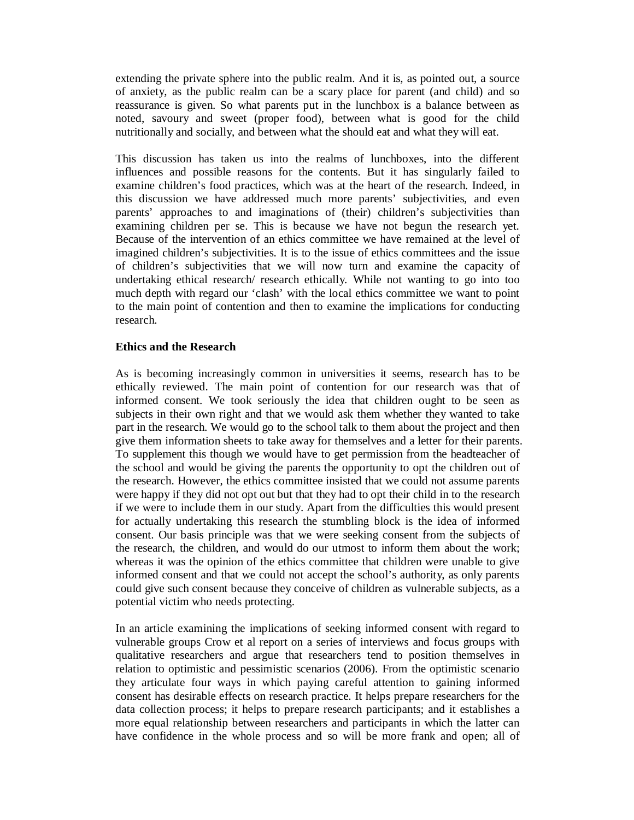extending the private sphere into the public realm. And it is, as pointed out, a source of anxiety, as the public realm can be a scary place for parent (and child) and so reassurance is given. So what parents put in the lunchbox is a balance between as noted, savoury and sweet (proper food), between what is good for the child nutritionally and socially, and between what the should eat and what they will eat.

This discussion has taken us into the realms of lunchboxes, into the different influences and possible reasons for the contents. But it has singularly failed to examine children's food practices, which was at the heart of the research. Indeed, in this discussion we have addressed much more parents' subjectivities, and even parents' approaches to and imaginations of (their) children's subjectivities than examining children per se. This is because we have not begun the research yet. Because of the intervention of an ethics committee we have remained at the level of imagined children's subjectivities. It is to the issue of ethics committees and the issue of children's subjectivities that we will now turn and examine the capacity of undertaking ethical research/ research ethically. While not wanting to go into too much depth with regard our 'clash' with the local ethics committee we want to point to the main point of contention and then to examine the implications for conducting research.

## **Ethics and the Research**

As is becoming increasingly common in universities it seems, research has to be ethically reviewed. The main point of contention for our research was that of informed consent. We took seriously the idea that children ought to be seen as subjects in their own right and that we would ask them whether they wanted to take part in the research. We would go to the school talk to them about the project and then give them information sheets to take away for themselves and a letter for their parents. To supplement this though we would have to get permission from the headteacher of the school and would be giving the parents the opportunity to opt the children out of the research. However, the ethics committee insisted that we could not assume parents were happy if they did not opt out but that they had to opt their child in to the research if we were to include them in our study. Apart from the difficulties this would present for actually undertaking this research the stumbling block is the idea of informed consent. Our basis principle was that we were seeking consent from the subjects of the research, the children, and would do our utmost to inform them about the work; whereas it was the opinion of the ethics committee that children were unable to give informed consent and that we could not accept the school's authority, as only parents could give such consent because they conceive of children as vulnerable subjects, as a potential victim who needs protecting.

In an article examining the implications of seeking informed consent with regard to vulnerable groups Crow et al report on a series of interviews and focus groups with qualitative researchers and argue that researchers tend to position themselves in relation to optimistic and pessimistic scenarios (2006). From the optimistic scenario they articulate four ways in which paying careful attention to gaining informed consent has desirable effects on research practice. It helps prepare researchers for the data collection process; it helps to prepare research participants; and it establishes a more equal relationship between researchers and participants in which the latter can have confidence in the whole process and so will be more frank and open; all of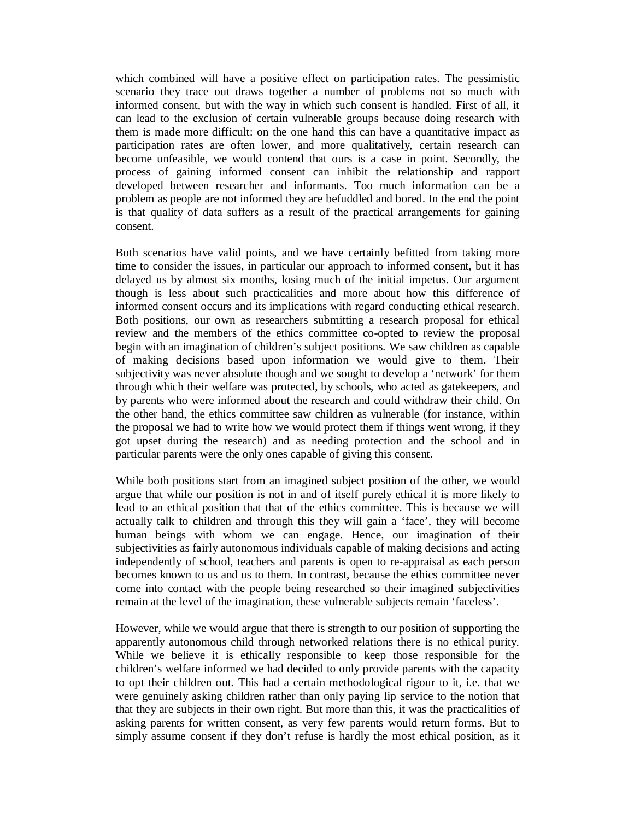which combined will have a positive effect on participation rates. The pessimistic scenario they trace out draws together a number of problems not so much with informed consent, but with the way in which such consent is handled. First of all, it can lead to the exclusion of certain vulnerable groups because doing research with them is made more difficult: on the one hand this can have a quantitative impact as participation rates are often lower, and more qualitatively, certain research can become unfeasible, we would contend that ours is a case in point. Secondly, the process of gaining informed consent can inhibit the relationship and rapport developed between researcher and informants. Too much information can be a problem as people are not informed they are befuddled and bored. In the end the point is that quality of data suffers as a result of the practical arrangements for gaining consent.

Both scenarios have valid points, and we have certainly befitted from taking more time to consider the issues, in particular our approach to informed consent, but it has delayed us by almost six months, losing much of the initial impetus. Our argument though is less about such practicalities and more about how this difference of informed consent occurs and its implications with regard conducting ethical research. Both positions, our own as researchers submitting a research proposal for ethical review and the members of the ethics committee co-opted to review the proposal begin with an imagination of children's subject positions. We saw children as capable of making decisions based upon information we would give to them. Their subjectivity was never absolute though and we sought to develop a 'network' for them through which their welfare was protected, by schools, who acted as gatekeepers, and by parents who were informed about the research and could withdraw their child. On the other hand, the ethics committee saw children as vulnerable (for instance, within the proposal we had to write how we would protect them if things went wrong, if they got upset during the research) and as needing protection and the school and in particular parents were the only ones capable of giving this consent.

While both positions start from an imagined subject position of the other, we would argue that while our position is not in and of itself purely ethical it is more likely to lead to an ethical position that that of the ethics committee. This is because we will actually talk to children and through this they will gain a 'face', they will become human beings with whom we can engage. Hence, our imagination of their subjectivities as fairly autonomous individuals capable of making decisions and acting independently of school, teachers and parents is open to re-appraisal as each person becomes known to us and us to them. In contrast, because the ethics committee never come into contact with the people being researched so their imagined subjectivities remain at the level of the imagination, these vulnerable subjects remain 'faceless'.

However, while we would argue that there is strength to our position of supporting the apparently autonomous child through networked relations there is no ethical purity. While we believe it is ethically responsible to keep those responsible for the children's welfare informed we had decided to only provide parents with the capacity to opt their children out. This had a certain methodological rigour to it, i.e. that we were genuinely asking children rather than only paying lip service to the notion that that they are subjects in their own right. But more than this, it was the practicalities of asking parents for written consent, as very few parents would return forms. But to simply assume consent if they don't refuse is hardly the most ethical position, as it